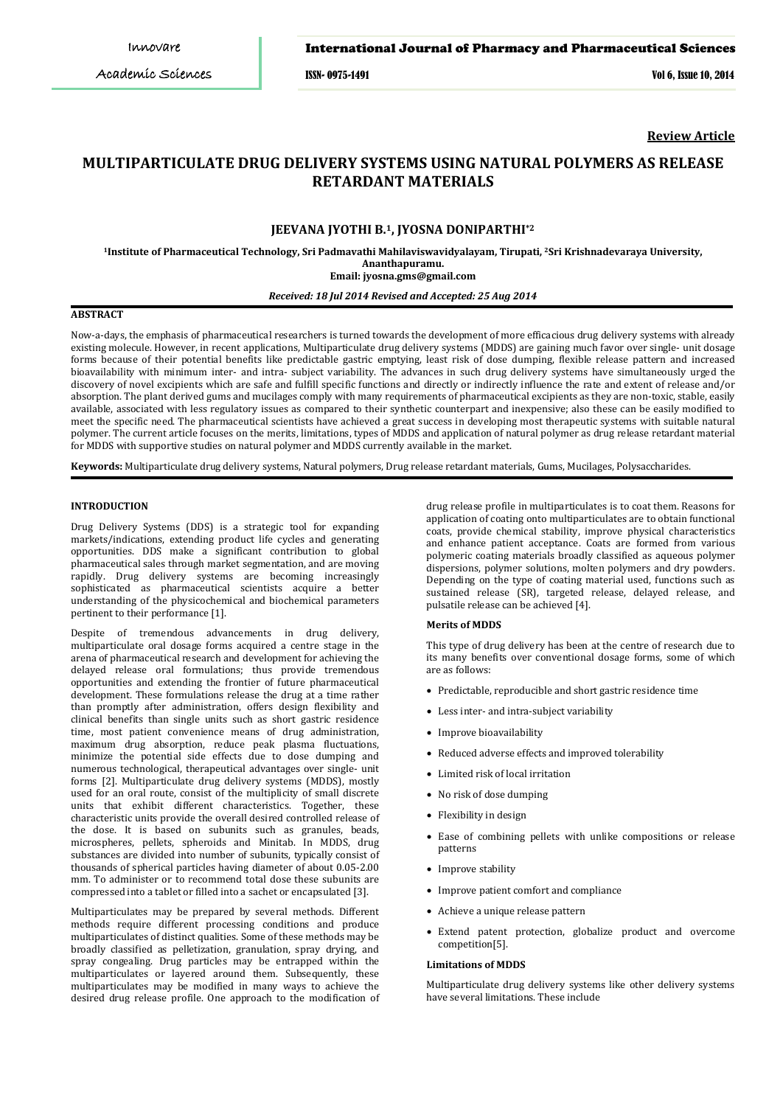### International Journal of Pharmacy and Pharmaceutical Sciences

ISSN- 0975-1491 Vol 6, Issue 10, 2014

**Review Article**

# **MULTIPARTICULATE DRUG DELIVERY SYSTEMS USING NATURAL POLYMERS AS RELEASE RETARDANT MATERIALS**

# **JEEVANA JYOTHI B.1, JYOSNA DONIPARTHI\*2**

**Sri Krishnadevaraya University, <sup>1</sup>Institute of Pharmaceutical Technology, Sri Padmavathi Mahilaviswavidyalayam, Tirupati, <sup>2</sup> Ananthapuramu. Email: [jyosna.gms@gmail.com](mailto:jyosna.gms@gmail.com)**

### *Received: 18 Jul 2014 Revised and Accepted: 25 Aug 2014*

# **ABSTRACT**

Now-a-days, the emphasis of pharmaceutical researchers is turned towards the development of more efficacious drug delivery systems with already existing molecule. However, in recent applications, Multiparticulate drug delivery systems (MDDS) are gaining much favor over single- unit dosage forms because of their potential benefits like predictable gastric emptying, least risk of dose dumping, flexible release pattern and increased bioavailability with minimum inter- and intra- subject variability. The advances in such drug delivery systems have simultaneously urged the discovery of novel excipients which are safe and fulfill specific functions and directly or indirectly influence the rate and extent of release and/or absorption. The plant derived gums and mucilages comply with many requirements of pharmaceutical excipients as they are non-toxic, stable, easily available, associated with less regulatory issues as compared to their synthetic counterpart and inexpensive; also these can be easily modified to meet the specific need. The pharmaceutical scientists have achieved a great success in developing most therapeutic systems with suitable natural polymer. The current article focuses on the merits, limitations, types of MDDS and application of natural polymer as drug release retardant material for MDDS with supportive studies on natural polymer and MDDS currently available in the market.

**Keywords:** Multiparticulate drug delivery systems, Natural polymers, Drug release retardant materials, Gums, Mucilages, Polysaccharides.

#### **INTRODUCTION**

Drug Delivery Systems (DDS) is a strategic tool for expanding markets/indications, extending product life cycles and generating opportunities. DDS make a significant contribution to global pharmaceutical sales through market segmentation, and are moving rapidly. Drug delivery systems are becoming increasingly sophisticated as pharmaceutical scientists acquire a better understanding of the physicochemical and biochemical parameters pertinent to their performance [1].

Despite of tremendous advancements in drug delivery, multiparticulate oral dosage forms acquired a centre stage in the arena of pharmaceutical research and development for achieving the delayed release oral formulations; thus provide tremendous opportunities and extending the frontier of future pharmaceutical development. These formulations release the drug at a time rather than promptly after administration, offers design flexibility and clinical benefits than single units such as short gastric residence time, most patient convenience means of drug administration, maximum drug absorption, reduce peak plasma fluctuations, minimize the potential side effects due to dose dumping and numerous technological, therapeutical advantages over single- unit forms [2]. Multiparticulate drug delivery systems (MDDS), mostly used for an oral route, consist of the multiplicity of small discrete units that exhibit different characteristics. Together, these characteristic units provide the overall desired controlled release of the dose. It is based on subunits such as granules, beads, microspheres, pellets, spheroids and Minitab. In MDDS, drug substances are divided into number of subunits, typically consist of thousands of spherical particles having diameter of about 0.05-2.00 mm. To administer or to recommend total dose these subunits are compressed into a tablet or filled into a sachet or encapsulated [3].

Multiparticulates may be prepared by several methods. Different methods require different processing conditions and produce multiparticulates of distinct qualities. Some of these methods may be broadly classified as pelletization, granulation, spray drying, and spray congealing. Drug particles may be entrapped within the multiparticulates or layered around them. Subsequently, these multiparticulates may be modified in many ways to achieve the desired drug release profile. One approach to the modification of

drug release profile in multiparticulates is to coat them. Reasons for application of coating onto multiparticulates are to obtain functional coats, provide chemical stability, improve physical characteristics and enhance patient acceptance. Coats are formed from various polymeric coating materials broadly classified as aqueous polymer dispersions, polymer solutions, molten polymers and dry powders. Depending on the type of coating material used, functions such as sustained release (SR), targeted release, delayed release, and pulsatile release can be achieved [4].

#### **Merits of MDDS**

This type of drug delivery has been at the centre of research due to its many benefits over conventional dosage forms, some of which are as follows:

- Predictable, reproducible and short gastric residence time
- Less inter- and intra-subject variability
- Improve bioavailability
- Reduced adverse effects and improved tolerability
- Limited risk of local irritation
- No risk of dose dumping
- Flexibility in design
- Ease of combining pellets with unlike compositions or release patterns
- Improve stability
- Improve patient comfort and compliance
- Achieve a unique release pattern
- Extend patent protection, globalize product and overcome competition[5].

#### **Limitations of MDDS**

Multiparticulate drug delivery systems like other delivery systems have several limitations. These include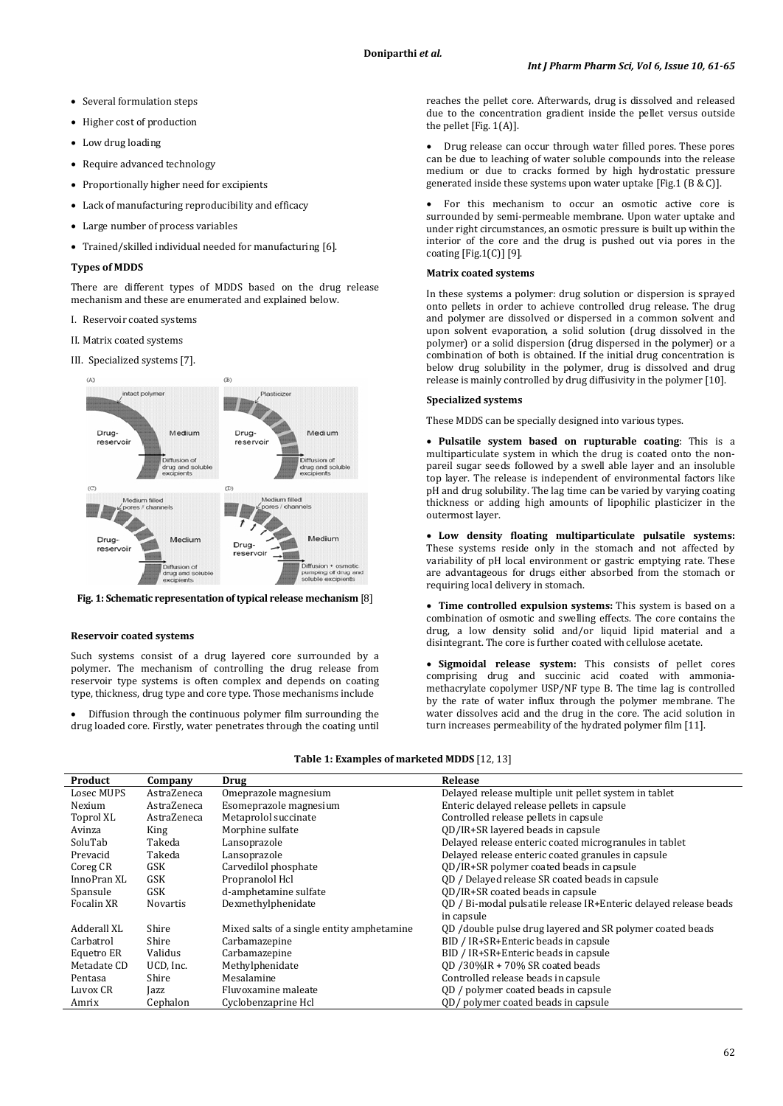- Several formulation steps
- Higher cost of production
- Low drug loading
- Require advanced technology
- Proportionally higher need for excipients
- Lack of manufacturing reproducibility and efficacy
- Large number of process variables
- Trained/skilled individual needed for manufacturing [6].

#### **Types of MDDS**

There are different types of MDDS based on the drug release mechanism and these are enumerated and explained below.

- I. Reservoir coated systems
- II. Matrix coated systems
- III. Specialized systems [7].



**Fig. 1: Schematic representation of typical release mechanism** [8]

#### **Reservoir coated systems**

Such systems consist of a drug layered core surrounded by a polymer. The mechanism of controlling the drug release from reservoir type systems is often complex and depends on coating type, thickness, drug type and core type. Those mechanisms include

• Diffusion through the continuous polymer film surrounding the drug loaded core. Firstly, water penetrates through the coating until

reaches the pellet core. Afterwards, drug is dissolved and released due to the concentration gradient inside the pellet versus outside the pellet [Fig. 1(A)].

• Drug release can occur through water filled pores. These pores can be due to leaching of water soluble compounds into the release medium or due to cracks formed by high hydrostatic pressure generated inside these systems upon water uptake [Fig.1 (B & C)].

• For this mechanism to occur an osmotic active core is surrounded by semi-permeable membrane. Upon water uptake and under right circumstances, an osmotic pressure is built up within the interior of the core and the drug is pushed out via pores in the coating  $[Fig.1(C)]$   $[9]$ .

#### **Matrix coated systems**

In these systems a polymer: drug solution or dispersion is sprayed onto pellets in order to achieve controlled drug release. The drug and polymer are dissolved or dispersed in a common solvent and upon solvent evaporation, a solid solution (drug dissolved in the polymer) or a solid dispersion (drug dispersed in the polymer) or a combination of both is obtained. If the initial drug concentration is below drug solubility in the polymer, drug is dissolved and drug release is mainly controlled by drug diffusivity in the polymer [10].

#### **Specialized systems**

These MDDS can be specially designed into various types.

• **Pulsatile system based on rupturable coating**: This is a multiparticulate system in which the drug is coated onto the nonpareil sugar seeds followed by a swell able layer and an insoluble top layer. The release is independent of environmental factors like pH and drug solubility. The lag time can be varied by varying coating thickness or adding high amounts of lipophilic plasticizer in the outermost layer.

• **Low density floating multiparticulate pulsatile systems:** These systems reside only in the stomach and not affected by variability of pH local environment or gastric emptying rate. These are advantageous for drugs either absorbed from the stomach or requiring local delivery in stomach.

• **Time controlled expulsion systems:** This system is based on a combination of osmotic and swelling effects. The core contains the drug, a low density solid and/or liquid lipid material and a disintegrant. The core is further coated with cellulose acetate.

• **Sigmoidal release system:** This consists of pellet cores comprising drug and succinic acid coated with ammoniamethacrylate copolymer USP/NF type B. The time lag is controlled by the rate of water influx through the polymer membrane. The water dissolves acid and the drug in the core. The acid solution in turn increases permeability of the hydrated polymer film [11].

| <b>Table 1: Examples of marketed MDDS</b> [12, 13] |  |
|----------------------------------------------------|--|
|----------------------------------------------------|--|

| Product     | Company         | Drug                                       | Release                                                          |
|-------------|-----------------|--------------------------------------------|------------------------------------------------------------------|
| Losec MUPS  | AstraZeneca     | Omeprazole magnesium                       | Delayed release multiple unit pellet system in tablet            |
| Nexium      | AstraZeneca     | Esomeprazole magnesium                     | Enteric delayed release pellets in capsule                       |
| Toprol XL   | AstraZeneca     | Metaprolol succinate                       | Controlled release pellets in capsule                            |
| Avinza      | King            | Morphine sulfate                           | OD/IR+SR layered beads in capsule                                |
| SoluTab     | Takeda          | Lansoprazole                               | Delayed release enteric coated microgranules in tablet           |
| Prevacid    | Takeda          | Lansoprazole                               | Delayed release enteric coated granules in capsule               |
| Coreg CR    | GSK             | Carvedilol phosphate                       | QD/IR+SR polymer coated beads in capsule                         |
| InnoPran XL | GSK             | Propranolol Hcl                            | OD / Delayed release SR coated beads in capsule                  |
| Spansule    | GSK             | d-amphetamine sulfate                      | OD/IR+SR coated beads in capsule                                 |
| Focalin XR  | <b>Novartis</b> | Dexmethylphenidate                         | OD / Bi-modal pulsatile release IR+Enteric delayed release beads |
|             |                 |                                            | in capsule                                                       |
| Adderall XL | Shire           | Mixed salts of a single entity amphetamine | QD /double pulse drug layered and SR polymer coated beads        |
| Carbatrol   | Shire           | Carbamazepine                              | BID / IR+SR+Enteric beads in capsule                             |
| Equetro ER  | Validus         | Carbamazepine                              | BID / IR+SR+Enteric beads in capsule                             |
| Metadate CD | UCD, Inc.       | Methylphenidate                            | QD /30%IR + 70% SR coated beads                                  |
| Pentasa     | Shire           | Mesalamine                                 | Controlled release beads in capsule                              |
| Luvox CR    | Jazz            | Fluvoxamine maleate                        | QD / polymer coated beads in capsule                             |
| Amrix       | Cephalon        | Cyclobenzaprine Hcl                        | OD/ polymer coated beads in capsule                              |
|             |                 |                                            |                                                                  |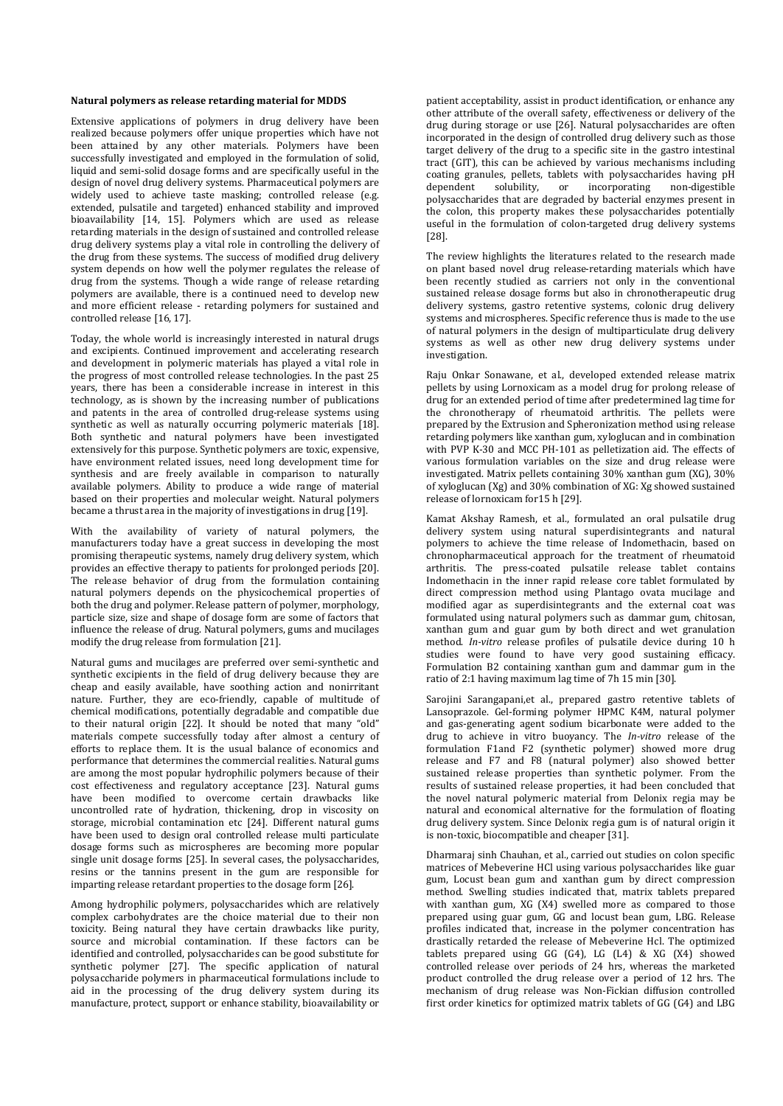#### **Natural polymers as release retarding material for MDDS**

Extensive applications of polymers in drug delivery have been realized because polymers offer unique properties which have not been attained by any other materials. Polymers have been successfully investigated and employed in the formulation of solid, liquid and semi-solid dosage forms and are specifically useful in the design of novel drug delivery systems. Pharmaceutical polymers are widely used to achieve taste masking; controlled release (e.g. extended, pulsatile and targeted) enhanced stability and improved bioavailability [14, 15]. Polymers which are used as release retarding materials in the design of sustained and controlled release drug delivery systems play a vital role in controlling the delivery of the drug from these systems. The success of modified drug delivery system depends on how well the polymer regulates the release of drug from the systems. Though a wide range of release retarding polymers are available, there is a continued need to develop new and more efficient release - retarding polymers for sustained and controlled release [16, 17].

Today, the whole world is increasingly interested in natural drugs and excipients. Continued improvement and accelerating research and development in polymeric materials has played a vital role in the progress of most controlled release technologies. In the past 25 years, there has been a considerable increase in interest in this technology, as is shown by the increasing number of publications and patents in the area of controlled drug-release systems using synthetic as well as naturally occurring polymeric materials [18]. Both synthetic and natural polymers have been investigated extensively for this purpose. Synthetic polymers are toxic, expensive, have environment related issues, need long development time for synthesis and are freely available in comparison to naturally available polymers. Ability to produce a wide range of material based on their properties and molecular weight. Natural polymers became a thrust area in the majority of investigations in drug [19].

With the availability of variety of natural polymers, the manufacturers today have a great success in developing the most promising therapeutic systems, namely drug delivery system, which provides an effective therapy to patients for prolonged periods [20]. The release behavior of drug from the formulation containing natural polymers depends on the physicochemical properties of both the drug and polymer. Release pattern of polymer, morphology, particle size, size and shape of dosage form are some of factors that influence the release of drug. Natural polymers, gums and mucilages modify the drug release from formulation [21].

Natural gums and mucilages are preferred over semi-synthetic and synthetic excipients in the field of drug delivery because they are cheap and easily available, have soothing action and nonirritant nature. Further, they are eco-friendly, capable of multitude of chemical modifications, potentially degradable and compatible due to their natural origin [22]. It should be noted that many "old" materials compete successfully today after almost a century of efforts to replace them. It is the usual balance of economics and performance that determines the commercial realities. Natural gums are among the most popular hydrophilic polymers because of their cost effectiveness and regulatory acceptance [23]. Natural gums have been modified to overcome certain drawbacks like uncontrolled rate of hydration, thickening, drop in viscosity on storage, microbial contamination etc [24]. Different natural gums have been used to design oral controlled release multi particulate dosage forms such as microspheres are becoming more popular single unit dosage forms [25]. In several cases, the polysaccharides, resins or the tannins present in the gum are responsible for imparting release retardant properties to the dosage form [26].

Among hydrophilic polymers, polysaccharides which are relatively complex carbohydrates are the choice material due to their non toxicity. Being natural they have certain drawbacks like purity, source and microbial contamination. If these factors can be identified and controlled, polysaccharides can be good substitute for synthetic polymer [27]. The specific application of natural polysaccharide polymers in pharmaceutical formulations include to aid in the processing of the drug delivery system during its manufacture, protect, support or enhance stability, bioavailability or

patient acceptability, assist in product identification, or enhance any other attribute of the overall safety, effectiveness or delivery of the drug during storage or use [26]. Natural polysaccharides are often incorporated in the design of controlled drug delivery such as those target delivery of the drug to a specific site in the gastro intestinal tract (GIT), this can be achieved by various mechanisms including coating granules, pellets, tablets with polysaccharides having pH<br>dependent solubility, or incorporating non-digestible dependent solubility, or incorporating non-digestible polysaccharides that are degraded by bacterial enzymes present in the colon, this property makes these polysaccharides potentially useful in the formulation of colon-targeted drug delivery systems [28].

The review highlights the literatures related to the research made on plant based novel drug release-retarding materials which have been recently studied as carriers not only in the conventional sustained release dosage forms but also in chronotherapeutic drug delivery systems, gastro retentive systems, colonic drug delivery systems and microspheres. Specific reference thus is made to the use of natural polymers in the design of multiparticulate drug delivery systems as well as other new drug delivery systems under investigation.

Raju Onkar Sonawane, et al., developed extended release matrix pellets by using Lornoxicam as a model drug for prolong release of drug for an extended period of time after predetermined lag time for the chronotherapy of rheumatoid arthritis. The pellets were prepared by the Extrusion and Spheronization method using release retarding polymers like xanthan gum, xyloglucan and in combination with PVP K-30 and MCC PH-101 as pelletization aid. The effects of various formulation variables on the size and drug release were investigated. Matrix pellets containing 30% xanthan gum (XG), 30% of xyloglucan (Xg) and 30% combination of XG: Xg showed sustained release of lornoxicam for15 h [29].

Kamat Akshay Ramesh, et al., formulated an oral pulsatile drug delivery system using natural superdisintegrants and natural polymers to achieve the time release of Indomethacin, based on chronopharmaceutical approach for the treatment of rheumatoid arthritis. The press-coated pulsatile release tablet contains Indomethacin in the inner rapid release core tablet formulated by direct compression method using Plantago ovata mucilage and modified agar as superdisintegrants and the external coat was formulated using natural polymers such as dammar gum, chitosan, xanthan gum and guar gum by both direct and wet granulation method. *In-vitro* release profiles of pulsatile device during 10 h studies were found to have very good sustaining efficacy. Formulation B2 containing xanthan gum and dammar gum in the ratio of 2:1 having maximum lag time of 7h 15 min [30].

Sarojini Sarangapani,et al., prepared gastro retentive tablets of Lansoprazole. Gel-forming polymer HPMC K4M, natural polymer and gas-generating agent sodium bicarbonate were added to the drug to achieve in vitro buoyancy. The *In-vitro* release of the formulation F1and F2 (synthetic polymer) showed more drug release and F7 and F8 (natural polymer) also showed better sustained release properties than synthetic polymer. From the results of sustained release properties, it had been concluded that the novel natural polymeric material from Delonix regia may be natural and economical alternative for the formulation of floating drug delivery system. Since Delonix regia gum is of natural origin it is non-toxic, biocompatible and cheaper [31].

Dharmaraj sinh Chauhan, et al., carried out studies on colon specific matrices of Mebeverine HCl using various polysaccharides like guar gum, Locust bean gum and xanthan gum by direct compression method. Swelling studies indicated that, matrix tablets prepared with xanthan gum, XG (X4) swelled more as compared to those prepared using guar gum, GG and locust bean gum, LBG. Release profiles indicated that, increase in the polymer concentration has drastically retarded the release of Mebeverine Hcl. The optimized tablets prepared using GG (G4), LG (L4) & XG (X4) showed controlled release over periods of 24 hrs, whereas the marketed product controlled the drug release over a period of 12 hrs. The mechanism of drug release was Non-Fickian diffusion controlled first order kinetics for optimized matrix tablets of GG (G4) and LBG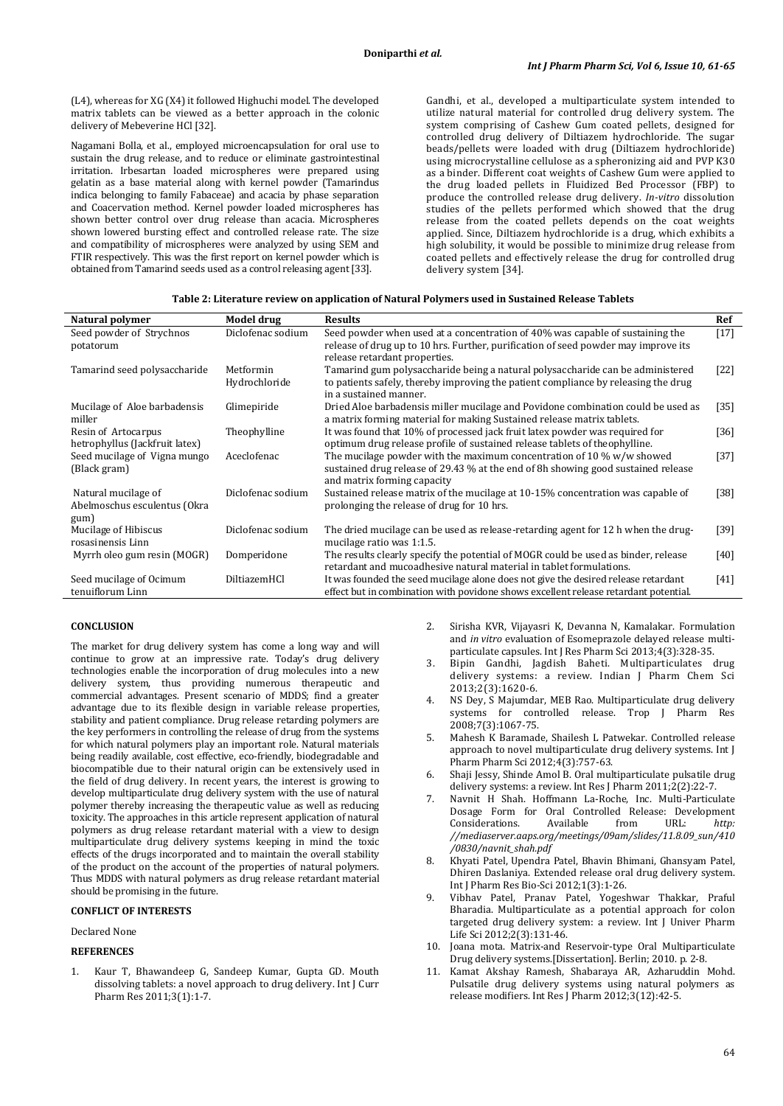(L4), whereas for XG (X4) it followed Highuchi model. The developed matrix tablets can be viewed as a better approach in the colonic delivery of Mebeverine HCl [32].

Nagamani Bolla, et al., employed microencapsulation for oral use to sustain the drug release, and to reduce or eliminate gastrointestinal irritation. Irbesartan loaded microspheres were prepared using gelatin as a base material along with kernel powder (Tamarindus indica belonging to family Fabaceae) and acacia by phase separation and Coacervation method. Kernel powder loaded microspheres has shown better control over drug release than acacia. Microspheres shown lowered bursting effect and controlled release rate. The size and compatibility of microspheres were analyzed by using SEM and FTIR respectively. This was the first report on kernel powder which is obtained from Tamarind seeds used as a control releasing agent [33].

Gandhi, et al., developed a multiparticulate system intended to utilize natural material for controlled drug delivery system. The system comprising of Cashew Gum coated pellets, designed for controlled drug delivery of Diltiazem hydrochloride. The sugar beads/pellets were loaded with drug (Diltiazem hydrochloride) using microcrystalline cellulose as a spheronizing aid and PVP K30 as a binder. Different coat weights of Cashew Gum were applied to the drug loaded pellets in Fluidized Bed Processor (FBP) to produce the controlled release drug delivery. *In-vitro* dissolution studies of the pellets performed which showed that the drug release from the coated pellets depends on the coat weights applied. Since, Diltiazem hydrochloride is a drug, which exhibits a high solubility, it would be possible to minimize drug release from coated pellets and effectively release the drug for controlled drug delivery system [34].

| Natural polymer                | Model drug        | <b>Results</b>                                                                                                   | Ref    |
|--------------------------------|-------------------|------------------------------------------------------------------------------------------------------------------|--------|
| Seed powder of Strychnos       | Diclofenac sodium | Seed powder when used at a concentration of 40% was capable of sustaining the                                    | $[17]$ |
| potatorum                      |                   | release of drug up to 10 hrs. Further, purification of seed powder may improve its                               |        |
|                                |                   | release retardant properties.                                                                                    |        |
| Tamarind seed polysaccharide   | Metformin         | Tamarind gum polysaccharide being a natural polysaccharide can be administered                                   | $[22]$ |
|                                | Hydrochloride     | to patients safely, thereby improving the patient compliance by releasing the drug<br>in a sustained manner.     |        |
| Mucilage of Aloe barbadensis   | Glimepiride       | Dried Aloe barbadensis miller mucilage and Povidone combination could be used as                                 | $[35]$ |
| miller                         |                   | a matrix forming material for making Sustained release matrix tablets.                                           |        |
| Resin of Artocarpus            | Theophylline      | It was found that 10% of processed jack fruit latex powder was required for                                      | $[36]$ |
| hetrophyllus (Jackfruit latex) |                   | optimum drug release profile of sustained release tablets of theophylline.                                       |        |
| Seed mucilage of Vigna mungo   | Aceclofenac       | The mucilage powder with the maximum concentration of 10 % $w/w$ showed                                          | $[37]$ |
| (Black gram)                   |                   | sustained drug release of 29.43 % at the end of 8h showing good sustained release<br>and matrix forming capacity |        |
| Natural mucilage of            | Diclofenac sodium | Sustained release matrix of the mucilage at 10-15% concentration was capable of                                  | [38]   |
| Abelmoschus esculentus (Okra   |                   | prolonging the release of drug for 10 hrs.                                                                       |        |
| gum)                           |                   |                                                                                                                  |        |
| Mucilage of Hibiscus           | Diclofenac sodium | The dried mucilage can be used as release-retarding agent for 12 h when the drug-                                | [39]   |
| rosasinensis Linn              |                   | mucilage ratio was 1:1.5.                                                                                        |        |
| Myrrh oleo gum resin (MOGR)    | Domperidone       | The results clearly specify the potential of MOGR could be used as binder, release                               | $[40]$ |
|                                |                   | retardant and mucoadhesive natural material in tablet formulations.                                              |        |
| Seed mucilage of Ocimum        | DiltiazemHCl      | It was founded the seed mucilage alone does not give the desired release retardant                               | $[41]$ |
| tenuiflorum Linn               |                   | effect but in combination with povidone shows excellent release retardant potential.                             |        |

# **CONCLUSION**

The market for drug delivery system has come a long way and will continue to grow at an impressive rate. Today's drug delivery technologies enable the incorporation of drug molecules into a new delivery system, thus providing numerous therapeutic and commercial advantages. Present scenario of MDDS; find a greater advantage due to its flexible design in variable release properties, stability and patient compliance. Drug release retarding polymers are the key performers in controlling the release of drug from the systems for which natural polymers play an important role. Natural materials being readily available, cost effective, eco-friendly, biodegradable and biocompatible due to their natural origin can be extensively used in the field of drug delivery. In recent years, the interest is growing to develop multiparticulate drug delivery system with the use of natural polymer thereby increasing the therapeutic value as well as reducing toxicity. The approaches in this article represent application of natural polymers as drug release retardant material with a view to design multiparticulate drug delivery systems keeping in mind the toxic effects of the drugs incorporated and to maintain the overall stability of the product on the account of the properties of natural polymers. Thus MDDS with natural polymers as drug release retardant material should be promising in the future.

## **CONFLICT OF INTERESTS**

Declared None

#### **REFERENCES**

1. Kaur T, Bhawandeep G, Sandeep Kumar, Gupta GD. Mouth dissolving tablets: a novel approach to drug delivery. Int J Curr Pharm Res 2011;3(1):1-7.

- 2. Sirisha KVR, Vijayasri K, Devanna N, Kamalakar. Formulation and *in vitro* evaluation of Esomeprazole delayed release multiparticulate capsules. Int J Res Pharm Sci 2013;4(3):328-35.
- 3. Bipin Gandhi, Jagdish Baheti. Multiparticulates drug delivery systems: a review. Indian J Pharm Chem Sci 2013;2(3):1620-6.
- NS Dey, S Majumdar, MEB Rao. Multiparticulate drug delivery systems for controlled release. Trop J Pharm Res 2008;7(3):1067-75.
- 5. Mahesh K Baramade, Shailesh L Patwekar. Controlled release approach to novel multiparticulate drug delivery systems. Int J Pharm Pharm Sci 2012;4(3):757-63.
- 6. Shaji Jessy, Shinde Amol B. Oral multiparticulate pulsatile drug delivery systems: a review. Int Res J Pharm 2011;2(2):22-7.
- 7. Navnit H Shah. Hoffmann La-Roche, Inc. Multi-Particulate Dosage Form for Oral Controlled Release: Development<br>Considerations. Available from URL: http: Considerations. Available from URL: *[http:](http://mediaserver.aaps.org/meetings/09am/slides/11.8.09_sun/410/0830/navnit_shah.pdf) [//mediaserver.aaps.org/meetings/09am/slides/11.8.09\\_sun/410](http://mediaserver.aaps.org/meetings/09am/slides/11.8.09_sun/410/0830/navnit_shah.pdf) [/0830/navnit\\_shah.pdf](http://mediaserver.aaps.org/meetings/09am/slides/11.8.09_sun/410/0830/navnit_shah.pdf)*
- 8. Khyati Patel, Upendra Patel, Bhavin Bhimani, Ghansyam Patel, Dhiren Daslaniya. Extended release oral drug delivery system. Int J Pharm Res Bio-Sci 2012;1(3):1-26.
- 9. Vibhav Patel, Pranav Patel, Yogeshwar Thakkar, Praful Bharadia. Multiparticulate as a potential approach for colon targeted drug delivery system: a review. Int J Univer Pharm Life Sci 2012;2(3):131-46.
- 10. Joana mota. Matrix-and Reservoir-type Oral Multiparticulate Drug delivery systems.[Dissertation]. Berlin; 2010. p. 2-8.
- 11. Kamat Akshay Ramesh, Shabaraya AR, Azharuddin Mohd. Pulsatile drug delivery systems using natural polymers as release modifiers. Int Res J Pharm 2012;3(12):42-5.